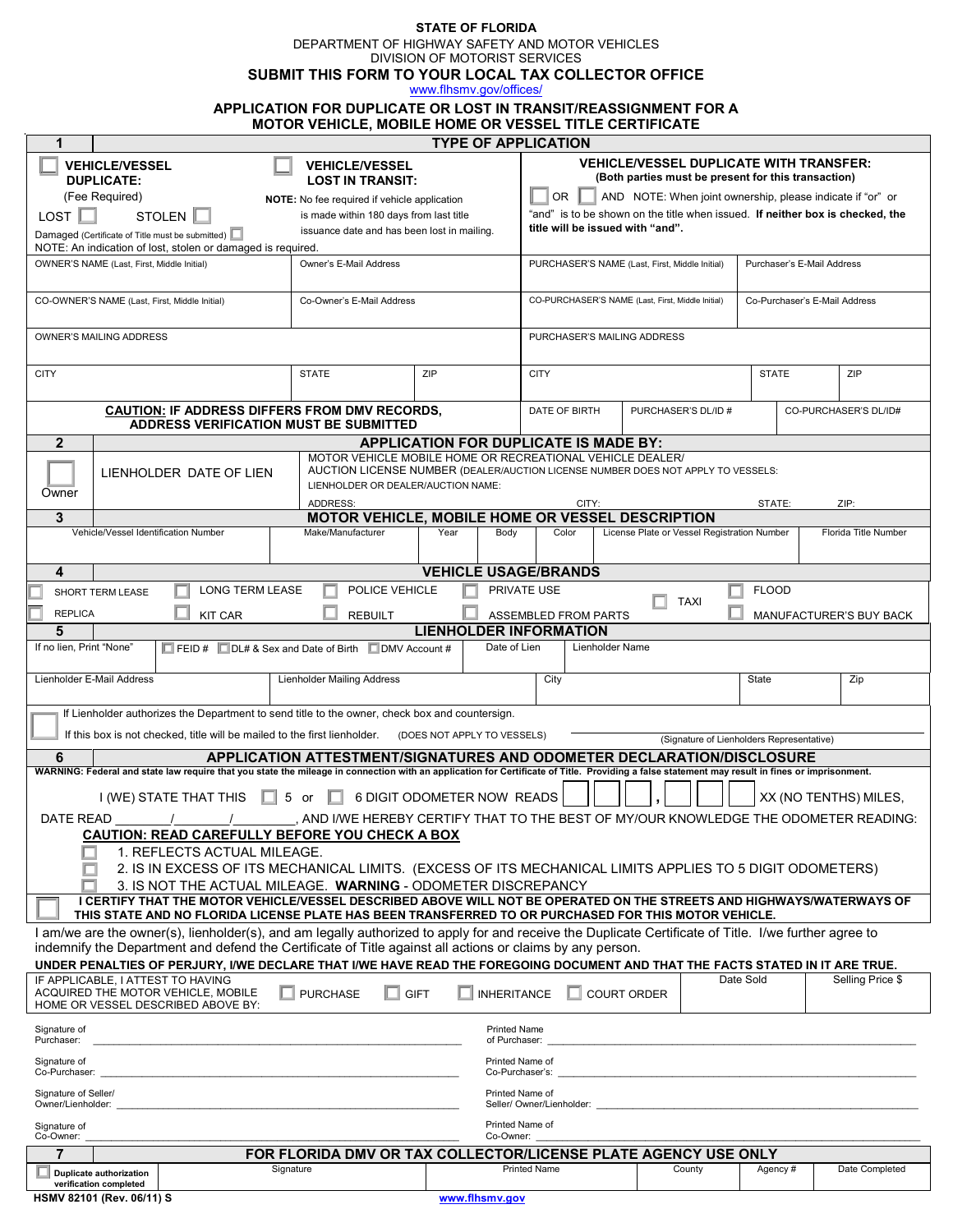**STATE OF FLORIDA**

DEPARTMENT OF HIGHWAY SAFETY AND MOTOR VEHICLES

 **SUBMIT THIS FORM TO YOUR LOCAL TAX COLLECTOR OFFICE** DIVISION OF MOTORIST SERVICES

[www.flhsmv.gov/offices/](http://www.flhsmv.gov/offices/)

# **APPLICATION FOR DUPLICATE OR LOST IN TRANSIT/REASSIGNMENT FOR A**

| <b>MOTOR VEHICLE, MOBILE HOME OR VESSEL TITLE CERTIFICATE</b>                                                                                                                                                                                                      |                                                                           |                                   |                                                                                                                                                     |                                                     |              |                       |  |
|--------------------------------------------------------------------------------------------------------------------------------------------------------------------------------------------------------------------------------------------------------------------|---------------------------------------------------------------------------|-----------------------------------|-----------------------------------------------------------------------------------------------------------------------------------------------------|-----------------------------------------------------|--------------|-----------------------|--|
| <b>TYPE OF APPLICATION</b><br>1<br><b>VEHICLE/VESSEL DUPLICATE WITH TRANSFER:</b>                                                                                                                                                                                  |                                                                           |                                   |                                                                                                                                                     |                                                     |              |                       |  |
| <b>DUPLICATE:</b>                                                                                                                                                                                                                                                  | <b>VEHICLE/VESSEL</b><br><b>VEHICLE/VESSEL</b><br><b>LOST IN TRANSIT:</b> |                                   |                                                                                                                                                     | (Both parties must be present for this transaction) |              |                       |  |
| (Fee Required)<br>NOTE: No fee required if vehicle application                                                                                                                                                                                                     |                                                                           |                                   | OR .<br>AND NOTE: When joint ownership, please indicate if "or" or<br>"and" is to be shown on the title when issued. If neither box is checked, the |                                                     |              |                       |  |
| LOST<br>STOLEN  <br>is made within 180 days from last title<br>issuance date and has been lost in mailing.<br>Damaged (Certificate of Title must be submitted)                                                                                                     |                                                                           |                                   | title will be issued with "and".                                                                                                                    |                                                     |              |                       |  |
| NOTE: An indication of lost, stolen or damaged is required.                                                                                                                                                                                                        |                                                                           |                                   |                                                                                                                                                     |                                                     |              |                       |  |
| Owner's E-Mail Address<br>OWNER'S NAME (Last, First, Middle Initial)                                                                                                                                                                                               |                                                                           |                                   | PURCHASER'S NAME (Last, First, Middle Initial)<br>Purchaser's E-Mail Address                                                                        |                                                     |              |                       |  |
| CO-OWNER'S NAME (Last, First, Middle Initial)<br>Co-Owner's E-Mail Address                                                                                                                                                                                         |                                                                           |                                   | CO-PURCHASER'S NAME (Last, First, Middle Initial)<br>Co-Purchaser's E-Mail Address                                                                  |                                                     |              |                       |  |
| OWNER'S MAILING ADDRESS                                                                                                                                                                                                                                            |                                                                           |                                   | PURCHASER'S MAILING ADDRESS                                                                                                                         |                                                     |              |                       |  |
| <b>CITY</b>                                                                                                                                                                                                                                                        | <b>STATE</b>                                                              | ZIP                               | <b>CITY</b>                                                                                                                                         |                                                     | <b>STATE</b> | ZIP                   |  |
| <b>CAUTION: IF ADDRESS DIFFERS FROM DMV RECORDS,</b><br><b>ADDRESS VERIFICATION MUST BE SUBMITTED</b>                                                                                                                                                              |                                                                           |                                   | DATE OF BIRTH                                                                                                                                       | PURCHASER'S DL/ID #                                 |              | CO-PURCHASER'S DL/ID# |  |
| $\mathbf{2}$                                                                                                                                                                                                                                                       |                                                                           |                                   |                                                                                                                                                     |                                                     |              |                       |  |
| APPLICATION FOR DUPLICATE IS MADE BY:<br>MOTOR VEHICLE MOBILE HOME OR RECREATIONAL VEHICLE DEALER/                                                                                                                                                                 |                                                                           |                                   |                                                                                                                                                     |                                                     |              |                       |  |
| AUCTION LICENSE NUMBER (DEALER/AUCTION LICENSE NUMBER DOES NOT APPLY TO VESSELS:<br>LIENHOLDER DATE OF LIEN<br>LIENHOLDER OR DEALER/AUCTION NAME:<br>Owner<br>ADDRESS:<br>CITY:<br>ZIP:<br>STATE:                                                                  |                                                                           |                                   |                                                                                                                                                     |                                                     |              |                       |  |
| 3                                                                                                                                                                                                                                                                  | MOTOR VEHICLE, MOBILE HOME OR VESSEL DESCRIPTION                          |                                   |                                                                                                                                                     |                                                     |              |                       |  |
| Vehicle/Vessel Identification Number                                                                                                                                                                                                                               | Make/Manufacturer                                                         | Year<br>Body                      | Color                                                                                                                                               | License Plate or Vessel Registration Number         |              | Florida Title Number  |  |
| 4                                                                                                                                                                                                                                                                  |                                                                           | <b>VEHICLE USAGE/BRANDS</b>       |                                                                                                                                                     |                                                     |              |                       |  |
| POLICE VEHICLE<br>LONG TERM LEASE<br>PRIVATE USE<br><b>FLOOD</b><br>SHORT TERM LEASE                                                                                                                                                                               |                                                                           |                                   |                                                                                                                                                     |                                                     |              |                       |  |
| <b>TAXI</b><br><b>REPLICA</b><br><b>REBUILT</b><br><b>KIT CAR</b><br>ASSEMBLED FROM PARTS<br>MANUFACTURER'S BUY BACK                                                                                                                                               |                                                                           |                                   |                                                                                                                                                     |                                                     |              |                       |  |
| <b>LIENHOLDER INFORMATION</b><br>5                                                                                                                                                                                                                                 |                                                                           |                                   |                                                                                                                                                     |                                                     |              |                       |  |
| If no lien, Print "None"<br>Date of Lien<br>Lienholder Name<br>$\Box$ FEID # $\Box$ DL# & Sex and Date of Birth $\Box$ DMV Account #                                                                                                                               |                                                                           |                                   |                                                                                                                                                     |                                                     |              |                       |  |
| Lienholder E-Mail Address                                                                                                                                                                                                                                          | <b>Lienholder Mailing Address</b>                                         |                                   | City                                                                                                                                                |                                                     | State        | Zip                   |  |
| If Lienholder authorizes the Department to send title to the owner, check box and countersign.                                                                                                                                                                     |                                                                           |                                   |                                                                                                                                                     |                                                     |              |                       |  |
| If this box is not checked, title will be mailed to the first lienholder.<br>(DOES NOT APPLY TO VESSELS)<br>(Signature of Lienholders Representative)                                                                                                              |                                                                           |                                   |                                                                                                                                                     |                                                     |              |                       |  |
| APPLICATION ATTESTMENT/SIGNATURES AND ODOMETER DECLARATION/DISCLOSURE<br>6                                                                                                                                                                                         |                                                                           |                                   |                                                                                                                                                     |                                                     |              |                       |  |
| WARNING: Federal and state law require that you state the mileage in connection with an application for Certificate of Title. Providing a false statement may result in fines or imprisonment.                                                                     |                                                                           |                                   |                                                                                                                                                     |                                                     |              |                       |  |
| $\Box$ 5 or<br>6 DIGIT ODOMETER NOW READS<br>I (WE) STATE THAT THIS<br>XX (NO TENTHS) MILES,<br>- L.I                                                                                                                                                              |                                                                           |                                   |                                                                                                                                                     |                                                     |              |                       |  |
| AND I/WE HEREBY CERTIFY THAT TO THE BEST OF MY/OUR KNOWLEDGE THE ODOMETER READING:<br><b>DATE READ</b>                                                                                                                                                             |                                                                           |                                   |                                                                                                                                                     |                                                     |              |                       |  |
| <b>CAUTION: READ CAREFULLY BEFORE YOU CHECK A BOX</b>                                                                                                                                                                                                              |                                                                           |                                   |                                                                                                                                                     |                                                     |              |                       |  |
| 1. REFLECTS ACTUAL MILEAGE.<br>2. IS IN EXCESS OF ITS MECHANICAL LIMITS. (EXCESS OF ITS MECHANICAL LIMITS APPLIES TO 5 DIGIT ODOMETERS)                                                                                                                            |                                                                           |                                   |                                                                                                                                                     |                                                     |              |                       |  |
| 3. IS NOT THE ACTUAL MILEAGE. WARNING - ODOMETER DISCREPANCY                                                                                                                                                                                                       |                                                                           |                                   |                                                                                                                                                     |                                                     |              |                       |  |
| I CERTIFY THAT THE MOTOR VEHICLE/VESSEL DESCRIBED ABOVE WILL NOT BE OPERATED ON THE STREETS AND HIGHWAYS/WATERWAYS OF<br>THIS STATE AND NO FLORIDA LICENSE PLATE HAS BEEN TRANSFERRED TO OR PURCHASED FOR THIS MOTOR VEHICLE.                                      |                                                                           |                                   |                                                                                                                                                     |                                                     |              |                       |  |
| I am/we are the owner(s), lienholder(s), and am legally authorized to apply for and receive the Duplicate Certificate of Title. I/we further agree to<br>indemnify the Department and defend the Certificate of Title against all actions or claims by any person. |                                                                           |                                   |                                                                                                                                                     |                                                     |              |                       |  |
| UNDER PENALTIES OF PERJURY, I/WE DECLARE THAT I/WE HAVE READ THE FOREGOING DOCUMENT AND THAT THE FACTS STATED IN IT ARE TRUE.<br>Date Sold<br>IF APPLICABLE. I ATTEST TO HAVING                                                                                    |                                                                           |                                   |                                                                                                                                                     |                                                     |              |                       |  |
| ACQUIRED THE MOTOR VEHICLE, MOBILE<br>HOME OR VESSEL DESCRIBED ABOVE BY:                                                                                                                                                                                           | <b>PURCHASE</b>                                                           | <b>GIFT</b><br><b>INHERITANCE</b> |                                                                                                                                                     | <b>COURT ORDER</b>                                  |              | Selling Price \$      |  |
| Signature of<br><b>Printed Name</b><br>Purchaser:<br>of Purchaser:                                                                                                                                                                                                 |                                                                           |                                   |                                                                                                                                                     |                                                     |              |                       |  |
| Signature of<br>Printed Name of<br>Co-Purchaser:<br>Co-Purchaser's:                                                                                                                                                                                                |                                                                           |                                   |                                                                                                                                                     |                                                     |              |                       |  |
| Signature of Seller/<br>Printed Name of<br>Owner/Lienholder:<br>Seller/ Owner/Lienholder:                                                                                                                                                                          |                                                                           |                                   |                                                                                                                                                     |                                                     |              |                       |  |
| Printed Name of<br>Signature of<br>Co-Owner:<br>Co-Owner:                                                                                                                                                                                                          |                                                                           |                                   |                                                                                                                                                     |                                                     |              |                       |  |
| $\overline{7}$<br>FOR FLORIDA DMV OR TAX COLLECTOR/LICENSE PLATE AGENCY USE ONLY                                                                                                                                                                                   |                                                                           |                                   |                                                                                                                                                     |                                                     |              |                       |  |
| Signature<br><b>Duplicate authorization</b><br>verification completed                                                                                                                                                                                              |                                                                           |                                   | <b>Printed Name</b>                                                                                                                                 | County                                              | Agency#      | Date Completed        |  |
| HSMV 82101 (Rev. 06/11) S                                                                                                                                                                                                                                          |                                                                           | www.flhsmv.gov                    |                                                                                                                                                     |                                                     |              |                       |  |